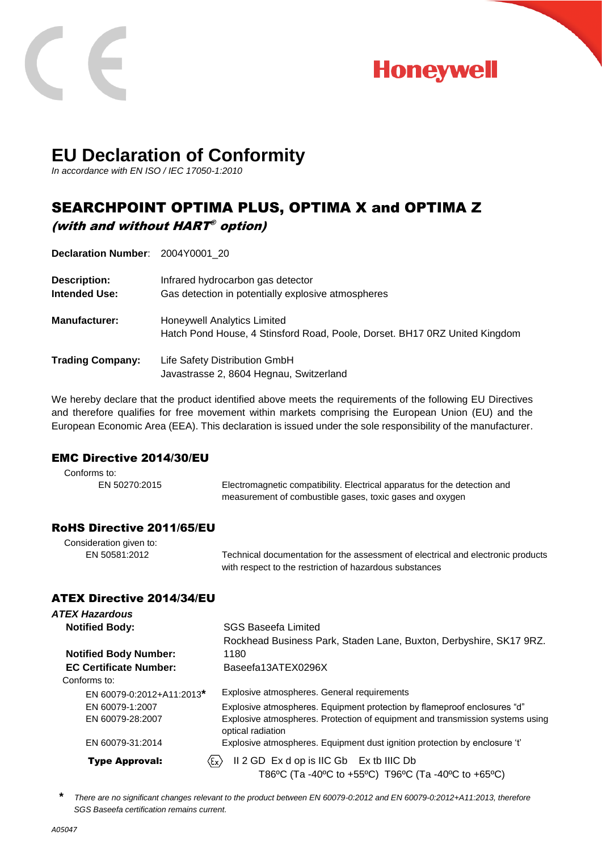



# **EU Declaration of Conformity**

*In accordance with EN ISO / IEC 17050-1:2010*

# SEARCHPOINT OPTIMA PLUS, OPTIMA X and OPTIMA Z (with and without HART ® option)

**Declaration Number**: 2004Y0001\_20

| <b>Description:</b><br><b>Intended Use:</b> | Infrared hydrocarbon gas detector<br>Gas detection in potentially explosive atmospheres                   |
|---------------------------------------------|-----------------------------------------------------------------------------------------------------------|
| <b>Manufacturer:</b>                        | Honeywell Analytics Limited<br>Hatch Pond House, 4 Stinsford Road, Poole, Dorset. BH17 0RZ United Kingdom |
| <b>Trading Company:</b>                     | Life Safety Distribution GmbH<br>Javastrasse 2, 8604 Hegnau, Switzerland                                  |

We hereby declare that the product identified above meets the requirements of the following EU Directives and therefore qualifies for free movement within markets comprising the European Union (EU) and the European Economic Area (EEA). This declaration is issued under the sole responsibility of the manufacturer.

#### EMC Directive 2014/30/EU

| Conforms to:  |                                                                                                                                       |
|---------------|---------------------------------------------------------------------------------------------------------------------------------------|
| EN 50270:2015 | Electromagnetic compatibility. Electrical apparatus for the detection and<br>measurement of combustible gases, toxic gases and oxygen |

### RoHS Directive 2011/65/EU

| Consideration given to: |                                                                                  |
|-------------------------|----------------------------------------------------------------------------------|
| EN 50581:2012           | Technical documentation for the assessment of electrical and electronic products |
|                         | with respect to the restriction of hazardous substances                          |

#### ATEX Directive 2014/34/EU

| ATEX Hazardous                                                   |                                                                                                    |
|------------------------------------------------------------------|----------------------------------------------------------------------------------------------------|
| <b>Notified Body:</b>                                            | <b>SGS Baseefa Limited</b>                                                                         |
|                                                                  | Rockhead Business Park, Staden Lane, Buxton, Derbyshire, SK17 9RZ.                                 |
| <b>Notified Body Number:</b>                                     | 1180                                                                                               |
| <b>EC Certificate Number:</b>                                    | Baseefa13ATEX0296X                                                                                 |
| Conforms to:                                                     |                                                                                                    |
| EN 60079-0:2012+A11:2013*                                        | Explosive atmospheres. General requirements                                                        |
| EN 60079-1:2007                                                  | Explosive atmospheres. Equipment protection by flameproof enclosures "d"                           |
| EN 60079-28:2007                                                 | Explosive atmospheres. Protection of equipment and transmission systems using<br>optical radiation |
| EN 60079-31:2014                                                 | Explosive atmospheres. Equipment dust ignition protection by enclosure 't'                         |
| $\langle \epsilon_{\mathsf{x}} \rangle$<br><b>Type Approval:</b> | Il 2 GD Ex d op is IIC Gb Ex tb IIIC Db                                                            |
|                                                                  | T86°C (Ta -40°C to +55°C) T96°C (Ta -40°C to +65°C)                                                |

*\* There are no significant changes relevant to the product between EN 60079-0:2012 and EN 60079-0:2012+A11:2013, therefore SGS Baseefa certification remains current.*